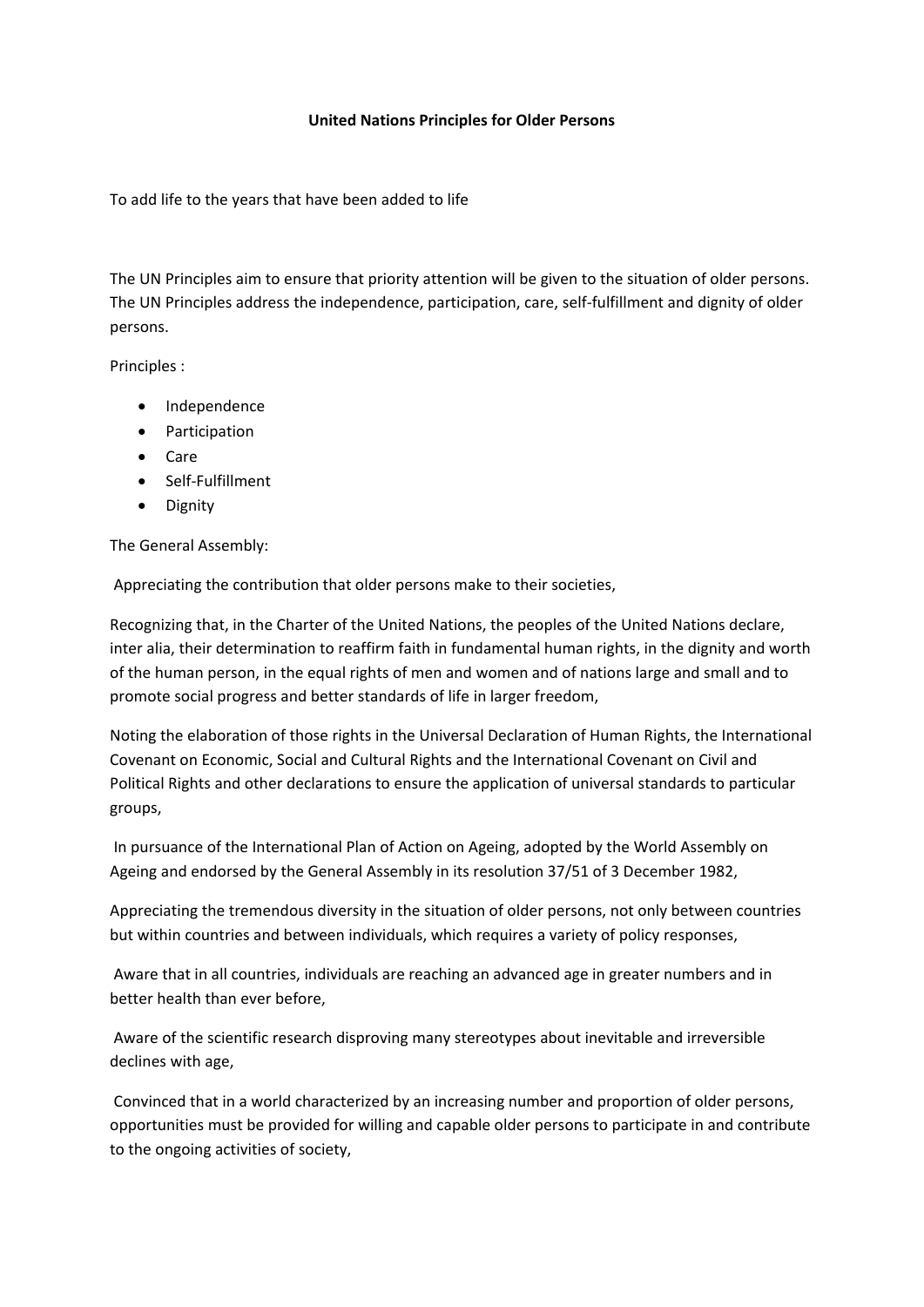## **United Nations Principles for Older Persons**

To add life to the years that have been added to life

The UN Principles aim to ensure that priority attention will be given to the situation of older persons. The UN Principles address the independence, participation, care, self-fulfillment and dignity of older persons.

Principles :

- Independence
- Participation
- Care
- Self-Fulfillment
- Dignity

The General Assembly:

Appreciating the contribution that older persons make to their societies,

Recognizing that, in the Charter of the United Nations, the peoples of the United Nations declare, inter alia, their determination to reaffirm faith in fundamental human rights, in the dignity and worth of the human person, in the equal rights of men and women and of nations large and small and to promote social progress and better standards of life in larger freedom,

Noting the elaboration of those rights in the Universal Declaration of Human Rights, the International Covenant on Economic, Social and Cultural Rights and the International Covenant on Civil and Political Rights and other declarations to ensure the application of universal standards to particular groups,

In pursuance of the International Plan of Action on Ageing, adopted by the World Assembly on Ageing and endorsed by the General Assembly in its resolution 37/51 of 3 December 1982,

Appreciating the tremendous diversity in the situation of older persons, not only between countries but within countries and between individuals, which requires a variety of policy responses,

Aware that in all countries, individuals are reaching an advanced age in greater numbers and in better health than ever before,

Aware of the scientific research disproving many stereotypes about inevitable and irreversible declines with age,

Convinced that in a world characterized by an increasing number and proportion of older persons, opportunities must be provided for willing and capable older persons to participate in and contribute to the ongoing activities of society,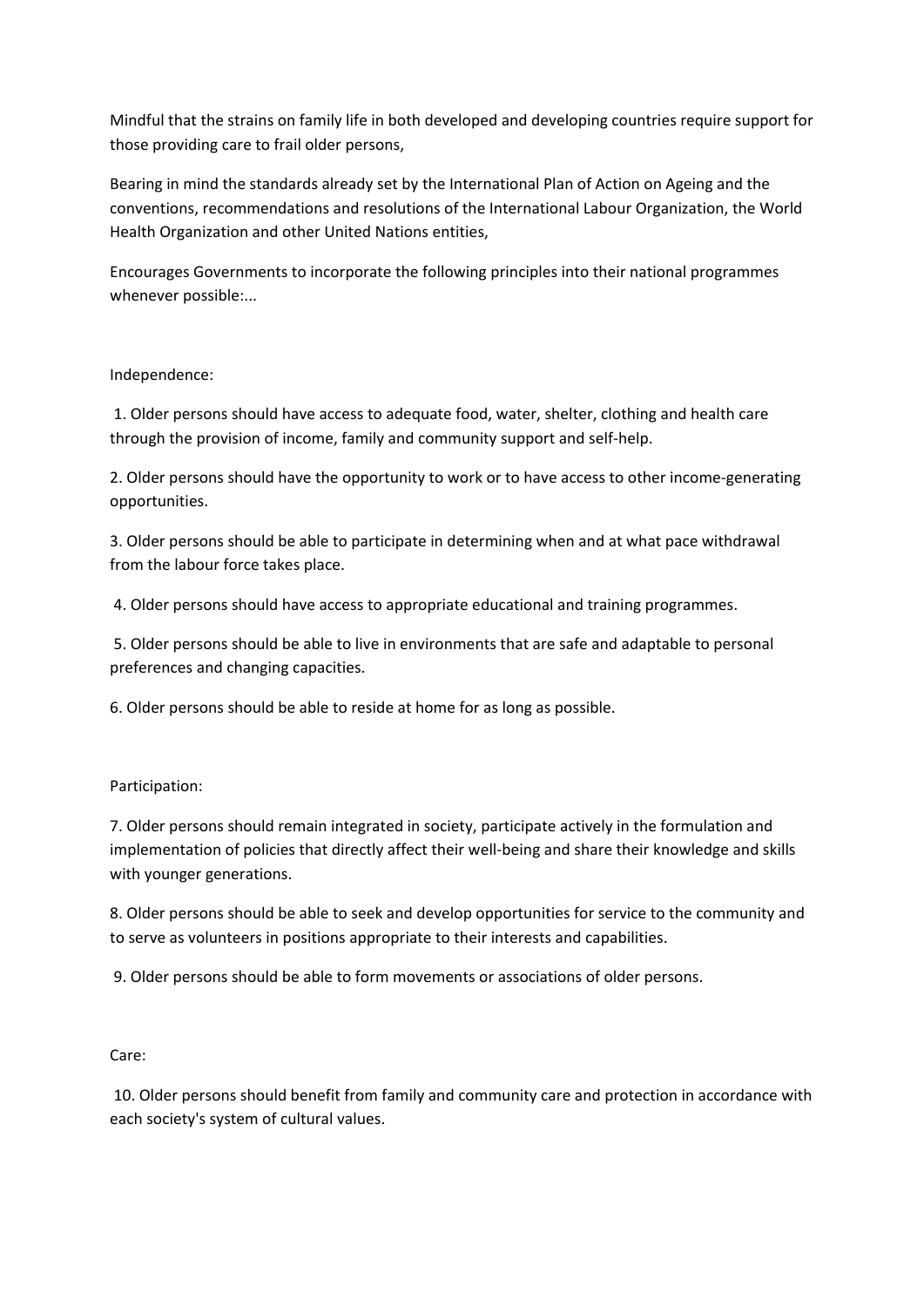Mindful that the strains on family life in both developed and developing countries require support for those providing care to frail older persons,

Bearing in mind the standards already set by the International Plan of Action on Ageing and the conventions, recommendations and resolutions of the International Labour Organization, the World Health Organization and other United Nations entities,

Encourages Governments to incorporate the following principles into their national programmes whenever possible:...

## Independence:

1. Older persons should have access to adequate food, water, shelter, clothing and health care through the provision of income, family and community support and self-help.

2. Older persons should have the opportunity to work or to have access to other income-generating opportunities.

3. Older persons should be able to participate in determining when and at what pace withdrawal from the labour force takes place.

4. Older persons should have access to appropriate educational and training programmes.

5. Older persons should be able to live in environments that are safe and adaptable to personal preferences and changing capacities.

6. Older persons should be able to reside at home for as long as possible.

## Participation:

7. Older persons should remain integrated in society, participate actively in the formulation and implementation of policies that directly affect their well-being and share their knowledge and skills with younger generations.

8. Older persons should be able to seek and develop opportunities for service to the community and to serve as volunteers in positions appropriate to their interests and capabilities.

9. Older persons should be able to form movements or associations of older persons.

## Care:

10. Older persons should benefit from family and community care and protection in accordance with each society's system of cultural values.